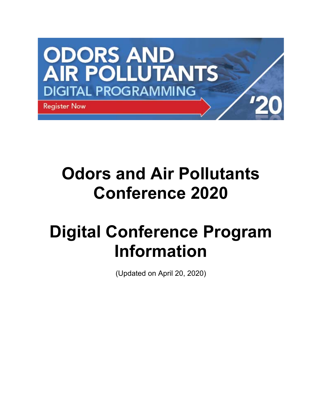

# **Odors and Air Pollutants Conference 2020**

# **Digital Conference Program Information**

(Updated on April 20, 2020)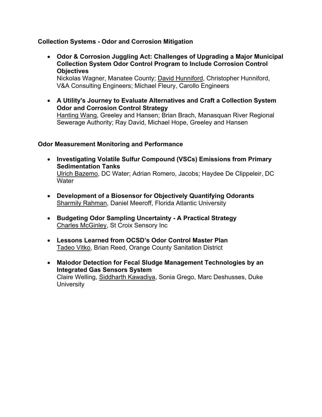# **Collection Systems - Odor and Corrosion Mitigation**

 **Odor & Corrosion Juggling Act: Challenges of Upgrading a Major Municipal Collection System Odor Control Program to Include Corrosion Control Objectives** 

Nickolas Wagner, Manatee County; David Hunniford, Christopher Hunniford, V&A Consulting Engineers; Michael Fleury, Carollo Engineers

 **A Utility's Journey to Evaluate Alternatives and Craft a Collection System Odor and Corrosion Control Strategy**  Hanting Wang, Greeley and Hansen; Brian Brach, Manasquan River Regional Sewerage Authority; Ray David, Michael Hope, Greeley and Hansen

#### **Odor Measurement Monitoring and Performance**

- **Investigating Volatile Sulfur Compound (VSCs) Emissions from Primary Sedimentation Tanks**  Ulrich Bazemo, DC Water; Adrian Romero, Jacobs; Haydee De Clippeleir, DC **Water**
- **Development of a Biosensor for Objectively Quantifying Odorants** Sharmily Rahman, Daniel Meeroff, Florida Atlantic University
- **Budgeting Odor Sampling Uncertainty A Practical Strategy**  Charles McGinley, St Croix Sensory Inc
- **Lessons Learned from OCSD's Odor Control Master Plan**  Tadeo Vitko, Brian Reed, Orange County Sanitation District
- **Malodor Detection for Fecal Sludge Management Technologies by an Integrated Gas Sensors System**  Claire Welling, Siddharth Kawadiya, Sonia Grego, Marc Deshusses, Duke **University**